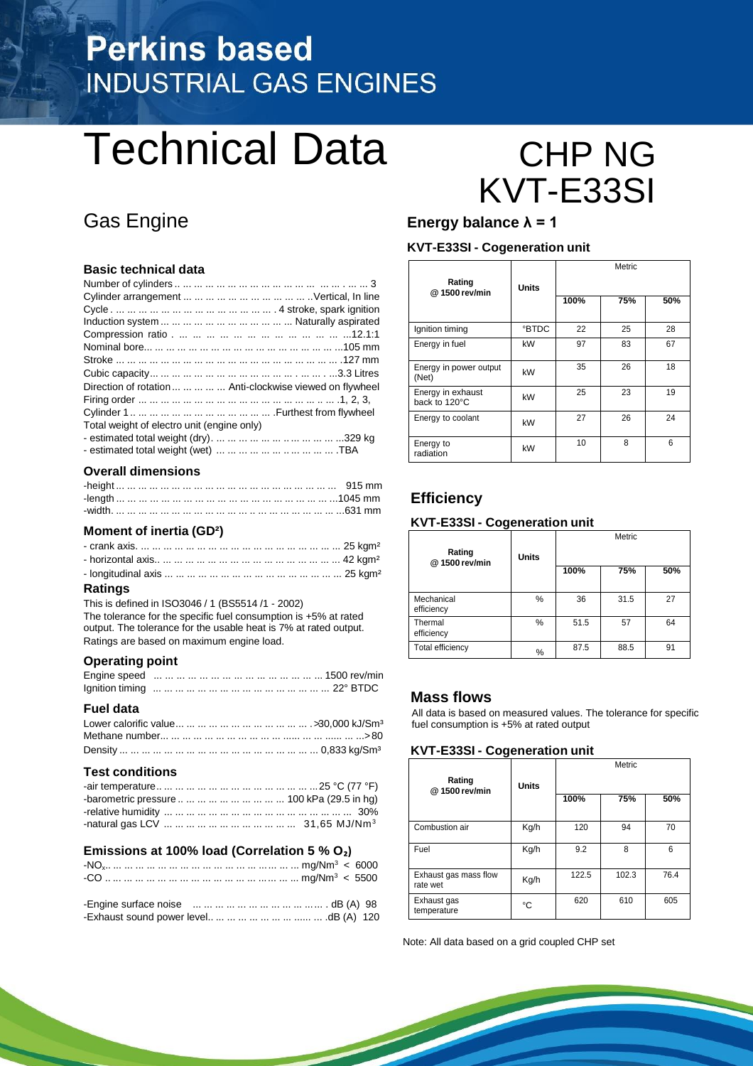## **Perkins based INDUSTRIAL GAS ENGINES**

# Technical Data CHP NG

#### **Basic technical data**

| Direction of rotation      Anti-clockwise viewed on flywheel |
|--------------------------------------------------------------|
|                                                              |
|                                                              |
| Total weight of electro unit (engine only)                   |
|                                                              |
| - estimated total weight (wet)          TBA                  |

#### **Overall dimensions**

#### **Moment of inertia (GD²)**

#### **Ratings**

This is defined in ISO3046 / 1 (BS5514 /1 - 2002) The tolerance for the specific fuel consumption is +5% at rated output. The tolerance for the usable heat is 7% at rated output. Ratings are based on maximum engine load.

#### **Operating point**

#### **Fuel data**

#### **Test conditions**

| -barometric pressure          100 kPa (29.5 in hg) |  |
|----------------------------------------------------|--|
|                                                    |  |
|                                                    |  |

#### **Emissions at 100% load (Correlation 5 % O₂)**

# KVT-E33SI

#### Gas Engine **Energy balance λ = 1**

#### **KVT-E33SI - Cogeneration unit**

| Rating<br>@1500 rev/min            | <b>Units</b> |      | Metric |     |
|------------------------------------|--------------|------|--------|-----|
|                                    |              | 100% | 75%    | 50% |
| Ignition timing                    | <b>BTDC</b>  | 22   | 25     | 28  |
| Energy in fuel                     | kW           | 97   | 83     | 67  |
| Energy in power output<br>(Net)    | kW           | 35   | 26     | 18  |
| Energy in exhaust<br>back to 120°C | kW           | 25   | 23     | 19  |
| Energy to coolant                  | kW           | 27   | 26     | 24  |
| Energy to<br>radiation             | kW           | 10   | 8      | 6   |

#### **Efficiency**

#### **KVT-E33SI - Cogeneration unit**

| Rating<br>@1500 rev/min  | <b>Units</b> | Metric |      |     |  |  |
|--------------------------|--------------|--------|------|-----|--|--|
|                          |              | 100%   | 75%  | 50% |  |  |
| Mechanical<br>efficiency | %            | 36     | 31.5 | 27  |  |  |
| Thermal<br>efficiency    | %            | 51.5   | 57   | 64  |  |  |
| <b>Total efficiency</b>  | %            | 87.5   | 88.5 | 91  |  |  |

#### **Mass flows**

All data is based on measured values. The tolerance for specific fuel consumption is +5% at rated output

#### **KVT-E33SI - Cogeneration unit**

| Rating<br>@ 1500 rev/min          | <b>Units</b> | Metric |       |      |  |  |
|-----------------------------------|--------------|--------|-------|------|--|--|
|                                   |              | 100%   | 75%   | 50%  |  |  |
| Combustion air                    | Kg/h         | 120    | 94    | 70   |  |  |
| Fuel                              | Kg/h         | 9.2    | 8     | 6    |  |  |
| Exhaust gas mass flow<br>rate wet | Kg/h         | 122.5  | 102.3 | 76.4 |  |  |
| Exhaust gas<br>temperature        | °C           | 620    | 610   | 605  |  |  |

Note: All data based on a grid coupled CHP set